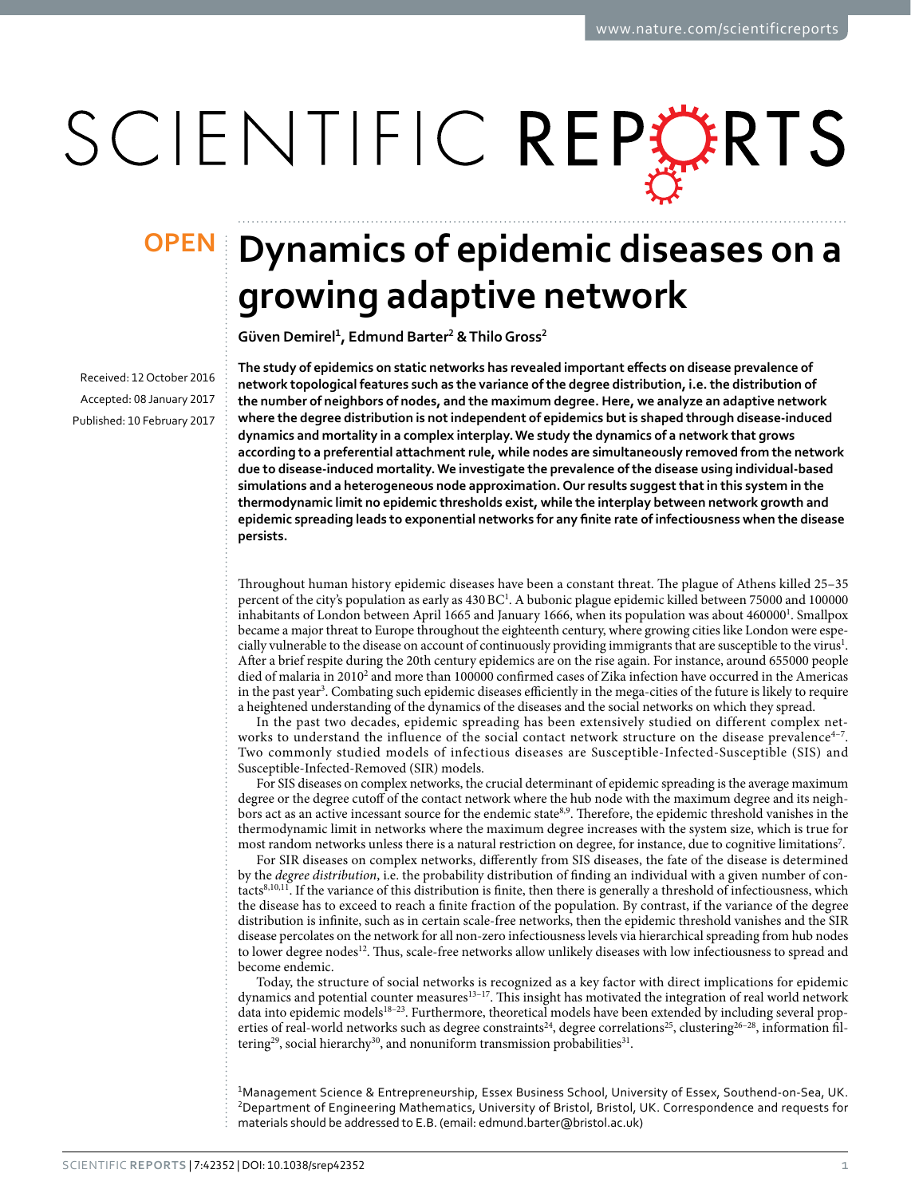# SCIENTIFIC REPERTS

Received: 12 October 2016 accepted: 08 January 2017 Published: 10 February 2017

## **Dynamics of epidemic diseases on a OPENgrowing adaptive network**

**Güven Demirel<sup>1</sup>, Edmund Barter<sup>2</sup> & ThiloGross<sup>2</sup>**

**The study of epidemics on static networks has revealed important effects on disease prevalence of network topological features such as the variance of the degree distribution, i.e. the distribution of the number of neighbors of nodes, and the maximum degree. Here, we analyze an adaptive network where the degree distribution is not independent of epidemics but is shaped through disease-induced dynamics and mortality in a complex interplay. We study the dynamics of a network that grows according to a preferential attachment rule, while nodes are simultaneously removed from the network due to disease-induced mortality. We investigate the prevalence of the disease using individual-based simulations and a heterogeneous node approximation. Our results suggest that in this system in the thermodynamic limit no epidemic thresholds exist, while the interplay between network growth and epidemic spreading leads to exponential networks for any finite rate of infectiousness when the disease persists.**

Throughout human history epidemic diseases have been a constant threat. The plague of Athens killed 25–35 percent of the city's population as early as 430 BC<sup>[1](#page-13-0)</sup>. A bubonic plague epidemic killed between 75000 and 100000 inhabitants of London between April 1665 and January 1666, when its population was about 460000<sup>1</sup>. Smallpox became a major threat to Europe throughout the eighteenth century, where growing cities like London were espe-cially vulnerable to the disease on account of continuously providing immigrants that are susceptible to the virus<sup>[1](#page-13-0)</sup>. After a brief respite during the 20th century epidemics are on the rise again. For instance, around 655000 people died of malaria in [2](#page-13-1)010<sup>2</sup> and more than 100000 confirmed cases of Zika infection have occurred in the Americas in the past year<sup>[3](#page-13-2)</sup>. Combating such epidemic diseases efficiently in the mega-cities of the future is likely to require a heightened understanding of the dynamics of the diseases and the social networks on which they spread.

In the past two decades, epidemic spreading has been extensively studied on different complex networks to understand the influence of the social contact network structure on the disease prevalence<sup>4-7</sup>. Two commonly studied models of infectious diseases are Susceptible-Infected-Susceptible (SIS) and Susceptible-Infected-Removed (SIR) models.

For SIS diseases on complex networks, the crucial determinant of epidemic spreading is the average maximum degree or the degree cutoff of the contact network where the hub node with the maximum degree and its neighbors act as an active incessant source for the endemic state[8,](#page-13-4)[9.](#page-13-5) Therefore, the epidemic threshold vanishes in the thermodynamic limit in networks where the maximum degree increases with the system size, which is true for most random networks unless there is a natural restriction on degree, for instance, due to cognitive limitations[7](#page-13-6) .

For SIR diseases on complex networks, differently from SIS diseases, the fate of the disease is determined by the *degree distribution*, i.e. the probability distribution of finding an individual with a given number of contact[s8](#page-13-4)[,10](#page-13-7)[,11](#page-13-8). If the variance of this distribution is finite, then there is generally a threshold of infectiousness, which the disease has to exceed to reach a finite fraction of the population. By contrast, if the variance of the degree distribution is infinite, such as in certain scale-free networks, then the epidemic threshold vanishes and the SIR disease percolates on the network for all non-zero infectiousness levels via hierarchical spreading from hub nodes to lower degree nodes<sup>12</sup>. Thus, scale-free networks allow unlikely diseases with low infectiousness to spread and become endemic.

Today, the structure of social networks is recognized as a key factor with direct implications for epidemic dynamics and potential counter measures<sup>13–17</sup>. This insight has motivated the integration of real world network data into epidemic models[18–23.](#page-13-11) Furthermore, theoretical models have been extended by including several prop-erties of real-world networks such as degree constraints<sup>[24](#page-13-12)</sup>, degree correlations<sup>25</sup>, clustering<sup>26-28</sup>, information filtering<sup>29</sup>, social hierarchy<sup>30</sup>, and nonuniform transmission probabilities<sup>31</sup>.

<sup>1</sup>Management Science & Entrepreneurship, Essex Business School, University of Essex, Southend-on-Sea, UK. <sup>2</sup>Department of Engineering Mathematics, University of Bristol, Bristol, UK. Correspondence and requests for materials should be addressed to E.B. (email: [edmund.barter@bristol.ac.uk\)](mailto:edmund.barter@bristol.ac.uk)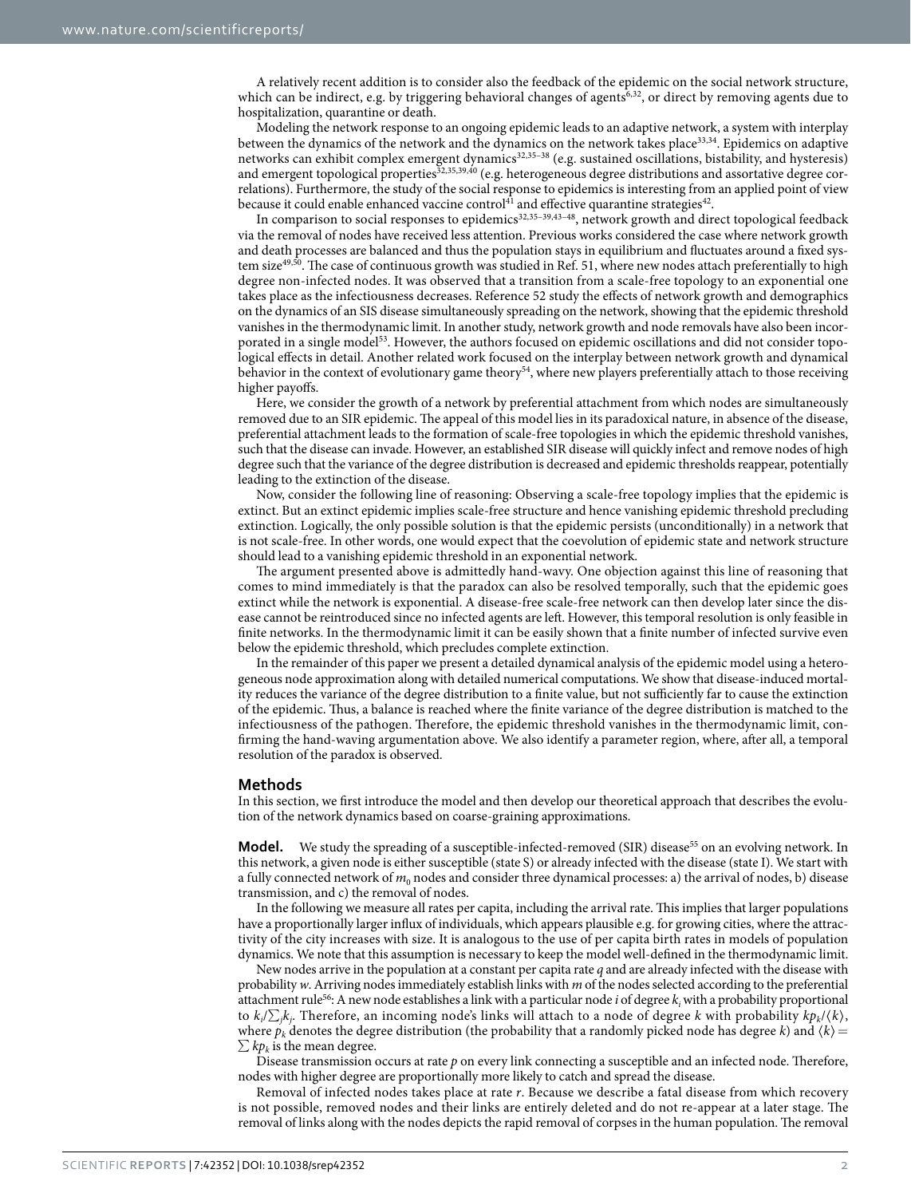A relatively recent addition is to consider also the feedback of the epidemic on the social network structure, which can be indirect, e.g. by triggering behavioral changes of agents $6,32$  $6,32$ , or direct by removing agents due to hospitalization, quarantine or death.

Modeling the network response to an ongoing epidemic leads to an adaptive network, a system with interplay between the dynamics of the network and the dynamics on the network takes place[33,](#page-13-20)[34.](#page-13-21) Epidemics on adaptive networks can exhibit complex emergent dynamics<sup>[32,](#page-13-19)[35–38](#page-13-22)</sup> (e.g. sustained oscillations, bistability, and hysteresis) and emergent topological properties<sup>[32](#page-13-19)[,35](#page-13-22)[,39](#page-14-0)[,40](#page-14-1)</sup> (e.g. heterogeneous degree distributions and assortative degree correlations). Furthermore, the study of the social response to epidemics is interesting from an applied point of view because it could enable enhanced vaccine control<sup>[41](#page-14-2)</sup> and effective quarantine strategies<sup>42</sup>.

In comparison to social responses to epidemics<sup>[32,](#page-13-19)[35–39](#page-13-22),[43–48](#page-14-4)</sup>, network growth and direct topological feedback via the removal of nodes have received less attention. Previous works considered the case where network growth and death processes are balanced and thus the population stays in equilibrium and fluctuates around a fixed sys-tem size<sup>[49](#page-14-5),[50](#page-14-6)</sup>. The case of continuous growth was studied in Ref. [51,](#page-14-7) where new nodes attach preferentially to high degree non-infected nodes. It was observed that a transition from a scale-free topology to an exponential one takes place as the infectiousness decreases. Reference [52](#page-14-8) study the effects of network growth and demographics on the dynamics of an SIS disease simultaneously spreading on the network, showing that the epidemic threshold vanishes in the thermodynamic limit. In another study, network growth and node removals have also been incor-porated in a single model<sup>[53](#page-14-9)</sup>. However, the authors focused on epidemic oscillations and did not consider topological effects in detail. Another related work focused on the interplay between network growth and dynamical behavior in the context of evolutionary game theory<sup>54</sup>, where new players preferentially attach to those receiving higher payoffs.

Here, we consider the growth of a network by preferential attachment from which nodes are simultaneously removed due to an SIR epidemic. The appeal of this model lies in its paradoxical nature, in absence of the disease, preferential attachment leads to the formation of scale-free topologies in which the epidemic threshold vanishes, such that the disease can invade. However, an established SIR disease will quickly infect and remove nodes of high degree such that the variance of the degree distribution is decreased and epidemic thresholds reappear, potentially leading to the extinction of the disease.

Now, consider the following line of reasoning: Observing a scale-free topology implies that the epidemic is extinct. But an extinct epidemic implies scale-free structure and hence vanishing epidemic threshold precluding extinction. Logically, the only possible solution is that the epidemic persists (unconditionally) in a network that is not scale-free. In other words, one would expect that the coevolution of epidemic state and network structure should lead to a vanishing epidemic threshold in an exponential network.

The argument presented above is admittedly hand-wavy. One objection against this line of reasoning that comes to mind immediately is that the paradox can also be resolved temporally, such that the epidemic goes extinct while the network is exponential. A disease-free scale-free network can then develop later since the disease cannot be reintroduced since no infected agents are left. However, this temporal resolution is only feasible in finite networks. In the thermodynamic limit it can be easily shown that a finite number of infected survive even below the epidemic threshold, which precludes complete extinction.

In the remainder of this paper we present a detailed dynamical analysis of the epidemic model using a heterogeneous node approximation along with detailed numerical computations. We show that disease-induced mortality reduces the variance of the degree distribution to a finite value, but not sufficiently far to cause the extinction of the epidemic. Thus, a balance is reached where the finite variance of the degree distribution is matched to the infectiousness of the pathogen. Therefore, the epidemic threshold vanishes in the thermodynamic limit, confirming the hand-waving argumentation above. We also identify a parameter region, where, after all, a temporal resolution of the paradox is observed.

#### **Methods**

In this section, we first introduce the model and then develop our theoretical approach that describes the evolution of the network dynamics based on coarse-graining approximations.

**Model.** We study the spreading of a susceptible-infected-removed (SIR) disease<sup>55</sup> on an evolving network. In this network, a given node is either susceptible (state S) or already infected with the disease (state I). We start with a fully connected network of  $m_0$  nodes and consider three dynamical processes: a) the arrival of nodes, b) disease transmission, and c) the removal of nodes.

In the following we measure all rates per capita, including the arrival rate. This implies that larger populations have a proportionally larger influx of individuals, which appears plausible e.g. for growing cities, where the attractivity of the city increases with size. It is analogous to the use of per capita birth rates in models of population dynamics. We note that this assumption is necessary to keep the model well-defined in the thermodynamic limit.

New nodes arrive in the population at a constant per capita rate *q* and are already infected with the disease with probability *w*. Arriving nodes immediately establish links with *m* of the nodes selected according to the preferential attachment rule<sup>56</sup>: A new node establishes a link with a particular node *i* of degree  $k_i$  with a probability proportional to  $k_i/\sum_j k_j$ . Therefore, an incoming node's links will attach to a node of degree *k* with probability  $kp_k/\langle k \rangle$ , where  $p_k$  denotes the degree distribution (the probability that a randomly picked node has degree *k*) and  $\langle k \rangle$  =  $\sum k p_k$  is the mean degree.

Disease transmission occurs at rate *p* on every link connecting a susceptible and an infected node. Therefore, nodes with higher degree are proportionally more likely to catch and spread the disease.

Removal of infected nodes takes place at rate *r*. Because we describe a fatal disease from which recovery is not possible, removed nodes and their links are entirely deleted and do not re-appear at a later stage. The removal of links along with the nodes depicts the rapid removal of corpses in the human population. The removal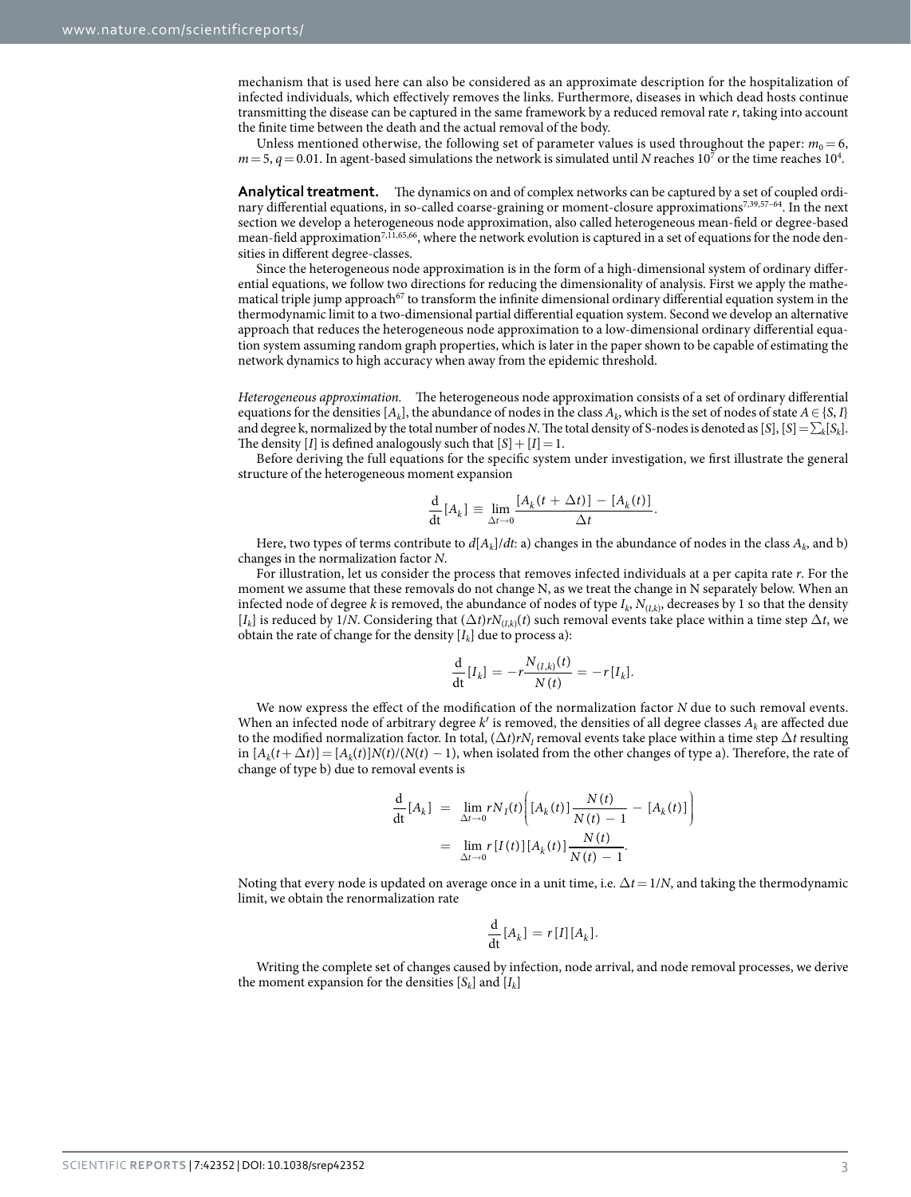mechanism that is used here can also be considered as an approximate description for the hospitalization of infected individuals, which effectively removes the links. Furthermore, diseases in which dead hosts continue transmitting the disease can be captured in the same framework by a reduced removal rate *r*, taking into account the finite time between the death and the actual removal of the body.

Unless mentioned otherwise, the following set of parameter values is used throughout the paper:  $m_0 = 6$ ,  $m$  = 5,  $q$  = 0.01. In agent-based simulations the network is simulated until *N* reaches 10<sup>7</sup> or the time reaches 10<sup>4</sup>.

**Analytical treatment.** The dynamics on and of complex networks can be captured by a set of coupled ordinary differential equations, in so-called coarse-graining or moment-closure approximations[7,](#page-13-6)[39,](#page-14-0)[57–64](#page-14-13). In the next section we develop a heterogeneous node approximation, also called heterogeneous mean-field or degree-based mean-field approximation<sup>7[,11](#page-13-8)[,65](#page-14-14),66</sup>, where the network evolution is captured in a set of equations for the node densities in different degree-classes.

Since the heterogeneous node approximation is in the form of a high-dimensional system of ordinary differential equations, we follow two directions for reducing the dimensionality of analysis. First we apply the mathematical triple jump approach<sup>67</sup> to transform the infinite dimensional ordinary differential equation system in the thermodynamic limit to a two-dimensional partial differential equation system. Second we develop an alternative approach that reduces the heterogeneous node approximation to a low-dimensional ordinary differential equation system assuming random graph properties, which is later in the paper shown to be capable of estimating the network dynamics to high accuracy when away from the epidemic threshold.

*Heterogeneous approximation.* The heterogeneous node approximation consists of a set of ordinary differential equations for the densities  $[A_k]$ , the abundance of nodes in the class  $A_k$ , which is the set of nodes of state  $A \in \{S, I\}$ and degree k, normalized by the total number of nodes *N*. The total density of S-nodes is denoted as [S], [S] =  $\sum_{k} [S_k]$ . The density [*I*] is defined analogously such that  $[S] + [I] = 1$ .

Before deriving the full equations for the specific system under investigation, we first illustrate the general structure of the heterogeneous moment expansion

$$
\frac{\mathrm{d}}{\mathrm{dt}}[A_k] \equiv \lim_{\Delta t \to 0} \frac{[A_k(t + \Delta t)] - [A_k(t)]}{\Delta t}.
$$

Here, two types of terms contribute to  $d[A_k]/dt$ : a) changes in the abundance of nodes in the class  $A_k$ , and b) changes in the normalization factor *N*.

For illustration, let us consider the process that removes infected individuals at a per capita rate *r*. For the moment we assume that these removals do not change N, as we treat the change in N separately below. When an infected node of degree *k* is removed, the abundance of nodes of type *Ik*, *N*(*I*,*<sup>k</sup>*), decreases by 1 so that the density  $[I_k]$  is reduced by  $1/N$ . Considering that  $(\Delta t)rN_{(I,k)}(t)$  such removal events take place within a time step  $\Delta t$ , we obtain the rate of change for the density  $[I_k]$  due to process a):

$$
\frac{\mathrm{d}}{\mathrm{d}t}[I_k] = -r \frac{N_{(I,k)}(t)}{N(t)} = -r[I_k].
$$

We now express the effect of the modification of the normalization factor *N* due to such removal events. When an infected node of arbitrary degree  $k'$  is removed, the densities of all degree classes  $A_k$  are affected due to the modified normalization factor. In total,  $(\Delta t)rN<sub>I</sub>$  removal events take place within a time step  $\Delta t$  resulting  $\lim_{k \to \infty} [A_k(t+\Delta t)] = [A_k(t)]N(t)/(N(t)-1)$ , when isolated from the other changes of type a). Therefore, the rate of change of type b) due to removal events is

$$
\frac{d}{dt}[A_k] = \lim_{\Delta t \to 0} rN_I(t) \left[ [A_k(t)] \frac{N(t)}{N(t) - 1} - [A_k(t)] \right]
$$

$$
= \lim_{\Delta t \to 0} r[I(t)] [A_k(t)] \frac{N(t)}{N(t) - 1}.
$$

Noting that every node is updated on average once in a unit time, i.e. Δ*t*= 1/*N*, and taking the thermodynamic limit, we obtain the renormalization rate

$$
\frac{\mathrm{d}}{\mathrm{d}t}[A_k] = r[I][A_k].
$$

Writing the complete set of changes caused by infection, node arrival, and node removal processes, we derive the moment expansion for the densities  $[S_k]$  and  $[I_k]$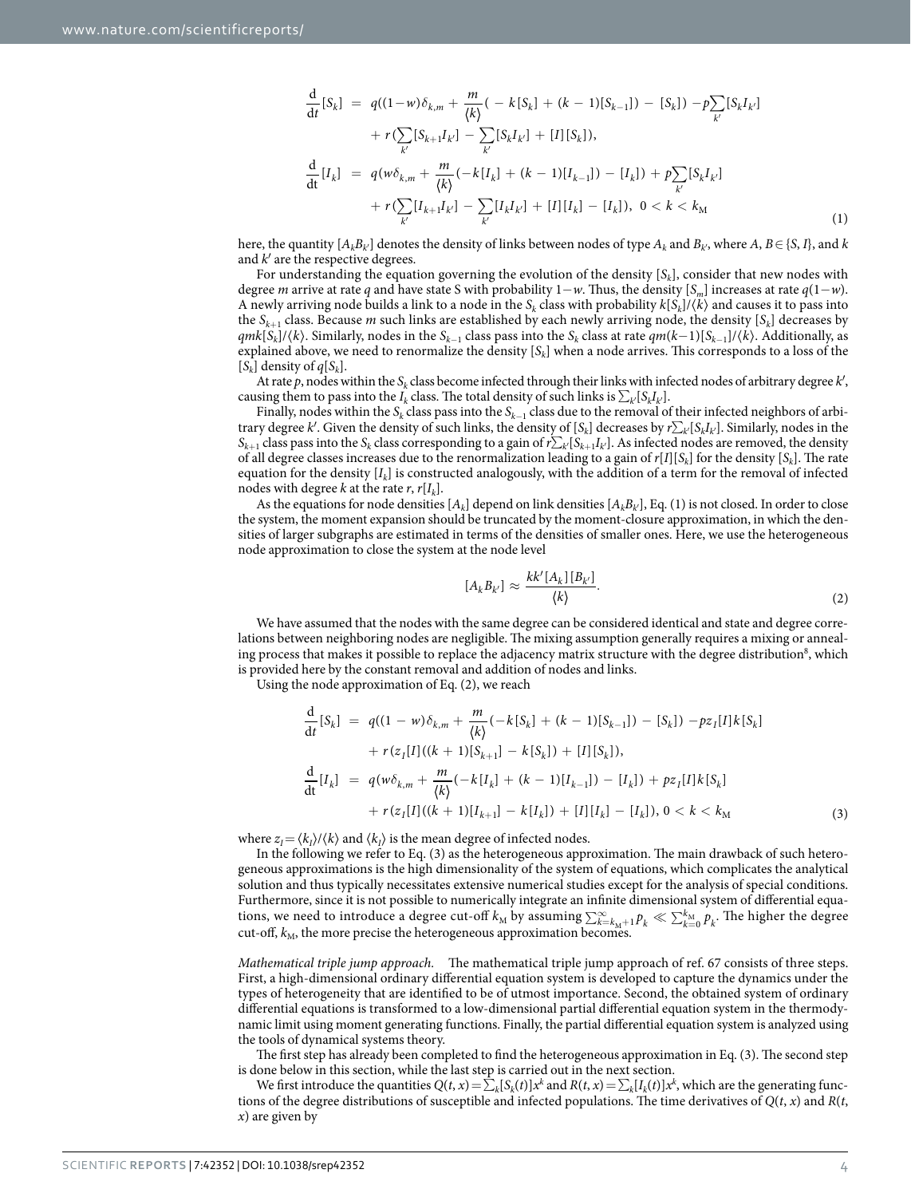$$
\frac{d}{dt}[S_k] = q((1-w)\delta_{k,m} + \frac{m}{\langle k \rangle}(-k[S_k] + (k-1)[S_{k-1}]) - [S_k]) - p\sum_{k'}[S_k I_{k'}] \n+ r(\sum_{k'}[S_{k+1}I_{k'}] - \sum_{k'}[S_k I_{k'}] + [I][S_k]),\n\frac{d}{dt}[I_k] = q(w\delta_{k,m} + \frac{m}{\langle k \rangle}(-k[I_k] + (k-1)[I_{k-1}]) - [I_k]) + p\sum_{k'}[S_k I_{k'}] \n+ r(\sum_{k'}[I_{k+1}I_{k'}] - \sum_{k'}[I_k I_{k'}] + [I][I_k] - [I_k]), 0 < k < k_M
$$
\n(1)

here, the quantity  $[A_k B_k]$  denotes the density of links between nodes of type  $A_k$  and  $B_k$ <sup>,</sup> where  $A, B \in \{S, I\}$ , and  $k$ and *k*′ are the respective degrees.

For understanding the equation governing the evolution of the density  $[S_k]$ , consider that new nodes with degree *m* arrive at rate *q* and have state S with probability 1−*w*. Thus, the density [*Sm*] increases at rate *q*(1−*w*). A newly arriving node builds a link to a node in the  $S_k$  class with probability  $k[S_k]/\langle k \rangle$  and causes it to pass into the *Sk*+1 class. Because *m* such links are established by each newly arriving node, the density [*Sk*] decreases by *qmk*[*Sk*]/〈*k*〉. Similarly, nodes in the *Sk*−1 class pass into the *Sk* class at rate *qm*(*k*−1)[*Sk*−1]/〈*k*〉. Additionally, as explained above, we need to renormalize the density [*Sk*] when a node arrives. This corresponds to a loss of the  $[S_k]$  density of  $q[S_k]$ .

At rate *p*, nodes within the *Sk* class become infected through their links with infected nodes of arbitrary degree *k*′, causing them to pass into the *I<sub>k</sub>* class. The total density of such links is  $\sum_{k'} [S_k I_{k'}]$ .

Finally, nodes within the *Sk* class pass into the *Sk*−1 class due to the removal of their infected neighbors of arbitrary degree *k*′. Given the density of such links, the density of [*Sk*] decreases by *r*∑*k*′ [*SkIk*′ ]. Similarly, nodes in the  $S_{k+1}$  class pass into the  $S_k$  class corresponding to a gain of  $r\sum_k[S_{k+1}I_k]$ . As infected nodes are removed, the density of all degree classes increases due to the renormalization leading to a gain of  $r[I][S_k]$  for the density  $[S_k]$ . The rate equation for the density  $[I_k]$  is constructed analogously, with the addition of a term for the removal of infected nodes with degree *k* at the rate *r*,  $r[I_k]$ .

As the equations for node densities  $[A_k]$  depend on link densities  $[A_k B_{k'}]$ , Eq. (1) is not closed. In order to close the system, the moment expansion should be truncated by the moment-closure approximation, in which the densities of larger subgraphs are estimated in terms of the densities of smaller ones. Here, we use the heterogeneous node approximation to close the system at the node level

$$
[A_k B_{k'}] \approx \frac{k k' [A_k] [B_{k'}]}{\langle k \rangle}.
$$
\n
$$
(2)
$$

We have assumed that the nodes with the same degree can be considered identical and state and degree correlations between neighboring nodes are negligible. The mixing assumption generally requires a mixing or anneal-ing process that makes it possible to replace the adjacency matrix structure with the degree distribution<sup>[8](#page-13-4)</sup>, which is provided here by the constant removal and addition of nodes and links.

Using the node approximation of Eq. (2), we reach

$$
\frac{d}{dt}[S_k] = q((1 - w)\delta_{k,m} + \frac{m}{\langle k \rangle}(-k[S_k] + (k - 1)[S_{k-1}]) - [S_k]) - pz_I[I]k[S_k]
$$
\n
$$
+ r(z_I[I]((k + 1)[S_{k+1}] - k[S_k]) + [I][S_k]),
$$
\n
$$
\frac{d}{dt}[I_k] = q(w\delta_{k,m} + \frac{m}{\langle k \rangle}(-k[I_k] + (k - 1)[I_{k-1}]) - [I_k]) + pz_I[I]k[S_k]
$$
\n
$$
+ r(z_I[I]((k + 1)[I_{k+1}] - k[I_k]) + [I][I_k] - [I_k]), 0 < k < k_M
$$
\n(3)

where  $z_I = \frac{k_I}{k_I}$  and  $\frac{k_I}{k_I}$  is the mean degree of infected nodes.

In the following we refer to Eq. (3) as the heterogeneous approximation. The main drawback of such heterogeneous approximations is the high dimensionality of the system of equations, which complicates the analytical solution and thus typically necessitates extensive numerical studies except for the analysis of special conditions. Furthermore, since it is not possible to numerically integrate an infinite dimensional system of differential equations, we need to introduce a degree cut-off  $k_M$  by assuming  $\sum_{k=k_M+1}^{\infty} p_k \ll \sum_{k=0}^{k_M} p_k$ . The higher the degree cut-off,  $k_M$ , the more precise the heterogeneous approximation becomes.

*Mathematical triple jump approach.* The mathematical triple jump approach of ref. [67](#page-14-16) consists of three steps. First, a high-dimensional ordinary differential equation system is developed to capture the dynamics under the types of heterogeneity that are identified to be of utmost importance. Second, the obtained system of ordinary differential equations is transformed to a low-dimensional partial differential equation system in the thermodynamic limit using moment generating functions. Finally, the partial differential equation system is analyzed using the tools of dynamical systems theory.

The first step has already been completed to find the heterogeneous approximation in Eq. (3). The second step is done below in this section, while the last step is carried out in the next section.

We first introduce the quantities  $Q(t, x) = \sum_k [S_k(t)]x^k$  and  $R(t, x) = \sum_k [I_k(t)]x^k$ , which are the generating functions of the degree distributions of susceptible and infected populations. The time derivatives of *Q*(*t*, *x*) and *R*(*t*, *x*) are given by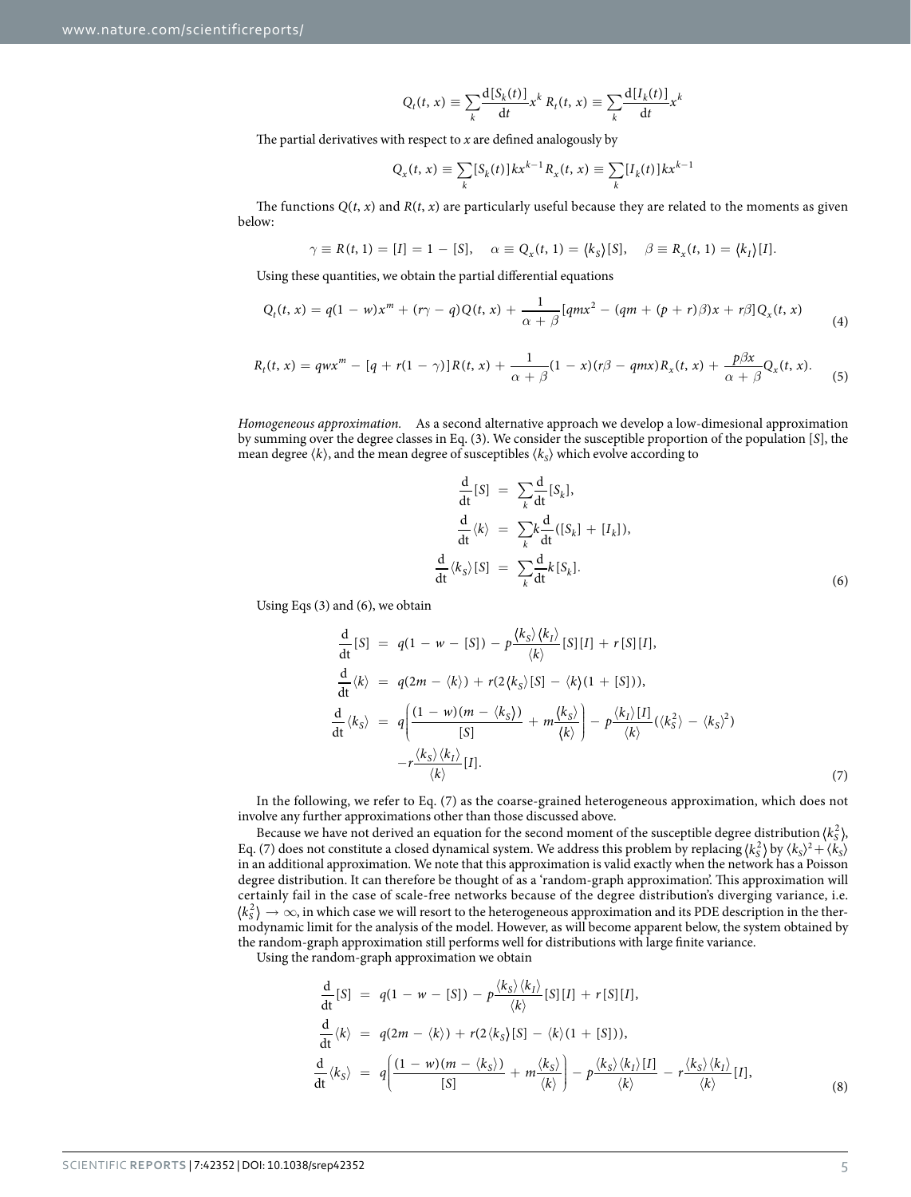$$
Q_t(t, x) \equiv \sum_k \frac{d[S_k(t)]}{dt} x^k R_t(t, x) \equiv \sum_k \frac{d[I_k(t)]}{dt} x^k
$$

The partial derivatives with respect to *x* are defined analogously by

$$
Q_x(t, x) \equiv \sum_k [S_k(t)] k x^{k-1} R_x(t, x) \equiv \sum_k [I_k(t)] k x^{k-1}
$$

The functions  $Q(t, x)$  and  $R(t, x)$  are particularly useful because they are related to the moments as given below:

$$
\gamma \equiv R(t, 1) = [I] = 1 - [S], \quad \alpha \equiv Q_x(t, 1) = (k_S)[S], \quad \beta \equiv R_x(t, 1) = (k_I)[I].
$$

Using these quantities, we obtain the partial differential equations

$$
Q_t(t, x) = q(1 - w)x^m + (r\gamma - q)Q(t, x) + \frac{1}{\alpha + \beta}[qmx^2 - (qm + (p + r)\beta)x + r\beta]Q_x(t, x)
$$
\n(4)

$$
R_t(t,x) = qwx^m - [q + r(1-\gamma)]R(t,x) + \frac{1}{\alpha+\beta}(1-x)(r\beta - qmx)R_x(t,x) + \frac{p\beta x}{\alpha+\beta}Q_x(t,x).
$$
 (5)

*Homogeneous approximation.* As a second alternative approach we develop a low-dimesional approximation by summing over the degree classes in Eq. (3). We consider the susceptible proportion of the population [*S*], the mean degree  $\langle k \rangle$ , and the mean degree of susceptibles  $\langle k_S \rangle$  which evolve according to

$$
\frac{d}{dt}[S] = \sum_{k} \frac{d}{dt}[S_{k}],
$$
\n
$$
\frac{d}{dt}\langle k \rangle = \sum_{k} \frac{d}{dt}([S_{k}] + [I_{k}]),
$$
\n
$$
\frac{d}{dt}\langle k_{S} \rangle [S] = \sum_{k} \frac{d}{dt}k[S_{k}].
$$
\n(6)

Using Eqs (3) and (6), we obtain

$$
\frac{d}{dt}[S] = q(1 - w - [S]) - p\frac{\langle k_S \rangle \langle k_I \rangle}{\langle k \rangle}[S][I] + r[S][I],
$$
\n
$$
\frac{d}{dt}\langle k \rangle = q(2m - \langle k \rangle) + r(2\langle k_S \rangle[S] - \langle k \rangle(1 + [S])),
$$
\n
$$
\frac{d}{dt}\langle k_S \rangle = q\left(\frac{(1 - w)(m - \langle k_S \rangle)}{[S]} + m\frac{\langle k_S \rangle}{\langle k \rangle}\right) - p\frac{\langle k_I \rangle [I]}{\langle k \rangle}(\langle k_S^2 \rangle - \langle k_S \rangle^2)
$$
\n
$$
-r\frac{\langle k_S \rangle \langle k_I \rangle}{\langle k \rangle}[I].
$$
\n(7)

In the following, we refer to Eq. (7) as the coarse-grained heterogeneous approximation, which does not involve any further approximations other than those discussed above.

Because we have not derived an equation for the second moment of the susceptible degree distribution  $\langle k_s^2 \rangle$ , Eq. (7) does not constitute a closed dynamical system. We address this problem by replacing  $(k_s^2)$  by  $(k_s)^2 + (k_s)^2$ in an additional approximation. We note that this approximation is valid exactly when the network has a Poisson degree distribution. It can therefore be thought of as a 'random-graph approximation'. This approximation will certainly fail in the case of scale-free networks because of the degree distribution's diverging variance, i.e.  $\ket{k_S^2}\to\infty$ , in which case we will resort to the heterogeneous approximation and its PDE description in the thermodynamic limit for the analysis of the model. However, as will become apparent below, the system obtained by the random-graph approximation still performs well for distributions with large finite variance.

Using the random-graph approximation we obtain

$$
\frac{d}{dt}[S] = q(1 - w - [S]) - p\frac{\langle k_S \rangle \langle k_I \rangle}{\langle k \rangle}[S][I] + r[S][I],
$$
\n
$$
\frac{d}{dt}\langle k \rangle = q(2m - \langle k \rangle) + r(2\langle k_S \rangle[S] - \langle k \rangle(1 + [S])),
$$
\n
$$
\frac{d}{dt}\langle k_S \rangle = q\left(\frac{(1 - w)(m - \langle k_S \rangle)}{[S]} + m\frac{\langle k_S \rangle}{\langle k \rangle}\right) - p\frac{\langle k_S \rangle \langle k_I \rangle [I]}{\langle k \rangle} - r\frac{\langle k_S \rangle \langle k_I \rangle}{\langle k \rangle}[I],
$$
\n(8)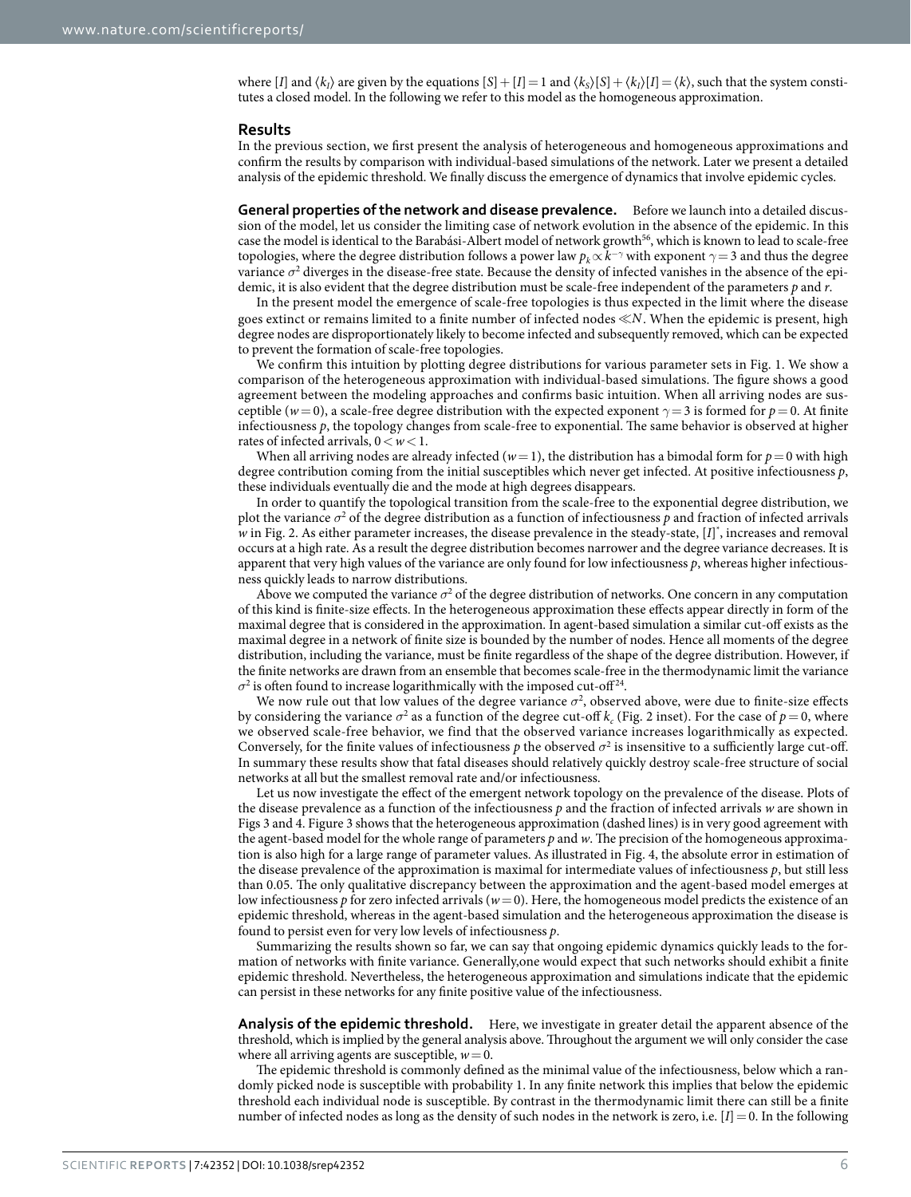where [*I*] and  $\langle k_i \rangle$  are given by the equations  $[S] + [I] = 1$  and  $\langle k_s \rangle [S] + \langle k_i \rangle [I] = \langle k \rangle$ , such that the system constitutes a closed model. In the following we refer to this model as the homogeneous approximation.

#### **Results**

In the previous section, we first present the analysis of heterogeneous and homogeneous approximations and confirm the results by comparison with individual-based simulations of the network. Later we present a detailed analysis of the epidemic threshold. We finally discuss the emergence of dynamics that involve epidemic cycles.

**General properties of the network and disease prevalence.** Before we launch into a detailed discussion of the model, let us consider the limiting case of network evolution in the absence of the epidemic. In this case the model is identical to the Barabási-Albert model of network growth<sup>[56](#page-14-12)</sup>, which is known to lead to scale-free topologies, where the degree distribution follows a power law  $p_k \propto k^{-\gamma}$  with exponent  $\gamma =$  3 and thus the degree variance  $\sigma^2$  diverges in the disease-free state. Because the density of infected vanishes in the absence of the epidemic, it is also evident that the degree distribution must be scale-free independent of the parameters *p* and *r*.

In the present model the emergence of scale-free topologies is thus expected in the limit where the disease goes extinct or remains limited to a finite number of infected nodes *N*. When the epidemic is present, high degree nodes are disproportionately likely to become infected and subsequently removed, which can be expected to prevent the formation of scale-free topologies.

We confirm this intuition by plotting degree distributions for various parameter sets in [Fig. 1](#page-6-0). We show a comparison of the heterogeneous approximation with individual-based simulations. The figure shows a good agreement between the modeling approaches and confirms basic intuition. When all arriving nodes are susceptible ( $w=0$ ), a scale-free degree distribution with the expected exponent  $\gamma=3$  is formed for  $p=0$ . At finite infectiousness *p*, the topology changes from scale-free to exponential. The same behavior is observed at higher rates of infected arrivals, 0<*w*<1.

When all arriving nodes are already infected ( $w=1$ ), the distribution has a bimodal form for  $p=0$  with high degree contribution coming from the initial susceptibles which never get infected. At positive infectiousness *p*, these individuals eventually die and the mode at high degrees disappears.

In order to quantify the topological transition from the scale-free to the exponential degree distribution, we plot the variance  $\sigma^2$  of the degree distribution as a function of infectiousness  $p$  and fraction of infected arrivals w in [Fig. 2.](#page-7-0) As either parameter increases, the disease prevalence in the steady-state, [*I*]<sup>\*</sup>, increases and removal occurs at a high rate. As a result the degree distribution becomes narrower and the degree variance decreases. It is apparent that very high values of the variance are only found for low infectiousness *p*, whereas higher infectiousness quickly leads to narrow distributions.

Above we computed the variance  $\sigma^2$  of the degree distribution of networks. One concern in any computation of this kind is finite-size effects. In the heterogeneous approximation these effects appear directly in form of the maximal degree that is considered in the approximation. In agent-based simulation a similar cut-off exists as the maximal degree in a network of finite size is bounded by the number of nodes. Hence all moments of the degree distribution, including the variance, must be finite regardless of the shape of the degree distribution. However, if the finite networks are drawn from an ensemble that becomes scale-free in the thermodynamic limit the variance  $\sigma^2$  is often found to increase logarithmically with the imposed cut-off<sup>24</sup>.

We now rule out that low values of the degree variance  $\sigma^2$ , observed above, were due to finite-size effects by considering the variance  $\sigma^2$  as a function of the degree cut-off  $k_c$  ([Fig. 2](#page-7-0) inset). For the case of  $p=0$ , where we observed scale-free behavior, we find that the observed variance increases logarithmically as expected. Conversely, for the finite values of infectiousness  $p$  the observed  $\sigma^2$  is insensitive to a sufficiently large cut-off. In summary these results show that fatal diseases should relatively quickly destroy scale-free structure of social networks at all but the smallest removal rate and/or infectiousness.

Let us now investigate the effect of the emergent network topology on the prevalence of the disease. Plots of the disease prevalence as a function of the infectiousness *p* and the fraction of infected arrivals *w* are shown in [Figs 3](#page-7-1) and [4.](#page-8-0) [Figure 3](#page-7-1) shows that the heterogeneous approximation (dashed lines) is in very good agreement with the agent-based model for the whole range of parameters *p* and *w*. The precision of the homogeneous approximation is also high for a large range of parameter values. As illustrated in [Fig. 4](#page-8-0), the absolute error in estimation of the disease prevalence of the approximation is maximal for intermediate values of infectiousness *p*, but still less than 0.05. The only qualitative discrepancy between the approximation and the agent-based model emerges at low infectiousness *p* for zero infected arrivals ( $w=0$ ). Here, the homogeneous model predicts the existence of an epidemic threshold, whereas in the agent-based simulation and the heterogeneous approximation the disease is found to persist even for very low levels of infectiousness *p*.

Summarizing the results shown so far, we can say that ongoing epidemic dynamics quickly leads to the formation of networks with finite variance. Generally,one would expect that such networks should exhibit a finite epidemic threshold. Nevertheless, the heterogeneous approximation and simulations indicate that the epidemic can persist in these networks for any finite positive value of the infectiousness.

**Analysis of the epidemic threshold.** Here, we investigate in greater detail the apparent absence of the threshold, which is implied by the general analysis above. Throughout the argument we will only consider the case where all arriving agents are susceptible,  $w=0$ .

The epidemic threshold is commonly defined as the minimal value of the infectiousness, below which a randomly picked node is susceptible with probability 1. In any finite network this implies that below the epidemic threshold each individual node is susceptible. By contrast in the thermodynamic limit there can still be a finite number of infected nodes as long as the density of such nodes in the network is zero, i.e.  $[I] = 0$ . In the following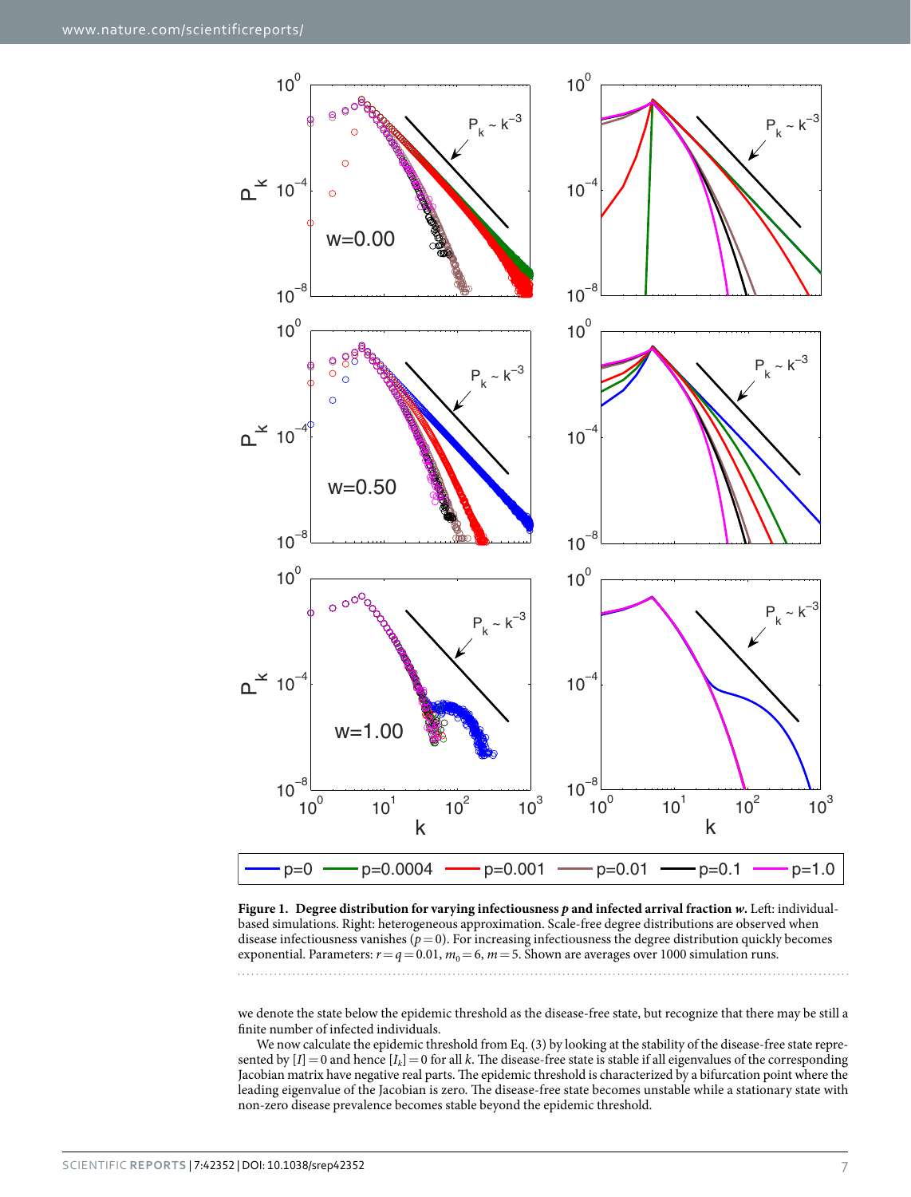

<span id="page-6-0"></span>**Figure 1. Degree distribution for varying infectiousness** *p* **and infected arrival fraction** *w***.** Left: individualbased simulations. Right: heterogeneous approximation. Scale-free degree distributions are observed when disease infectiousness vanishes (*p*=0). For increasing infectiousness the degree distribution quickly becomes exponential. Parameters:  $r = q = 0.01$ ,  $m_0 = 6$ ,  $m = 5$ . Shown are averages over 1000 simulation runs.

we denote the state below the epidemic threshold as the disease-free state, but recognize that there may be still a finite number of infected individuals.

We now calculate the epidemic threshold from Eq. (3) by looking at the stability of the disease-free state represented by  $[I] = 0$  and hence  $[I_k] = 0$  for all *k*. The disease-free state is stable if all eigenvalues of the corresponding Jacobian matrix have negative real parts. The epidemic threshold is characterized by a bifurcation point where the leading eigenvalue of the Jacobian is zero. The disease-free state becomes unstable while a stationary state with non-zero disease prevalence becomes stable beyond the epidemic threshold.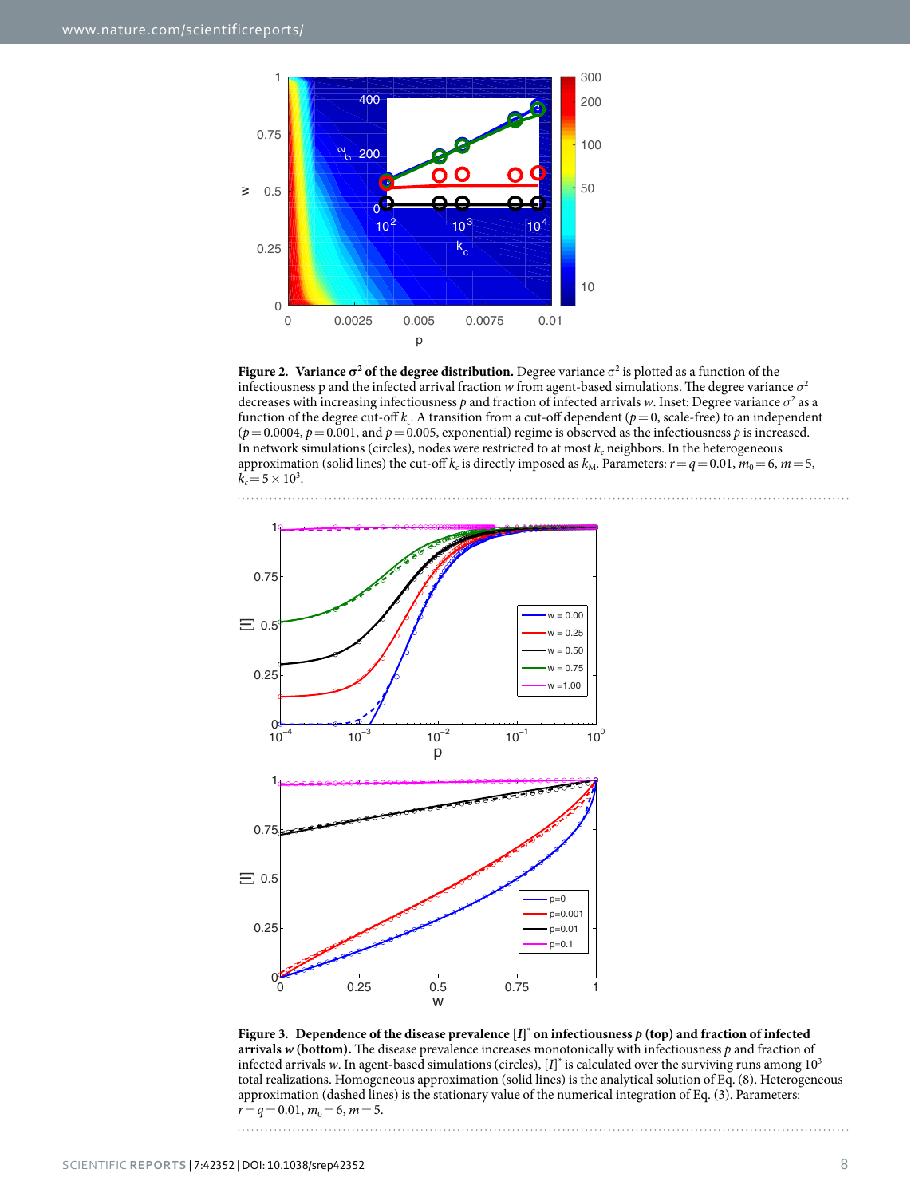

<span id="page-7-0"></span>**Figure 2.** Variance  $\sigma^2$  of the degree distribution. Degree variance  $\sigma^2$  is plotted as a function of the infectiousness p and the infected arrival fraction *w* from agent-based simulations. The degree variance *σ*<sup>2</sup> decreases with increasing infectiousness *p* and fraction of infected arrivals *w*. Inset: Degree variance *σ*<sup>2</sup> as a function of the degree cut-off  $k_c$ . A transition from a cut-off dependent ( $p=0$ , scale-free) to an independent  $(p=0.0004, p=0.001,$  and  $p=0.005$ , exponential) regime is observed as the infectiousness *p* is increased. In network simulations (circles), nodes were restricted to at most  $k_c$  neighbors. In the heterogeneous approximation (solid lines) the cut-off  $k_c$  is directly imposed as  $k_M$ . Parameters:  $r = q = 0.01$ ,  $m_0 = 6$ ,  $m = 5$ ,  $k_c = 5 \times 10^3$ .



<span id="page-7-1"></span>Figure 3. Dependence of the disease prevalence  $[I]^*$  on infectiousness  $p$  (top) and fraction of infected **arrivals** *w* **(bottom).** The disease prevalence increases monotonically with infectiousness *p* and fraction of infected arrivals *w*. In agent-based simulations (circles),  $[I]$ <sup>\*</sup> is calculated over the surviving runs among  $10^3$ total realizations. Homogeneous approximation (solid lines) is the analytical solution of Eq. (8). Heterogeneous approximation (dashed lines) is the stationary value of the numerical integration of Eq. (3). Parameters:  $r=q=0.01$ ,  $m_0=6$ ,  $m=5$ .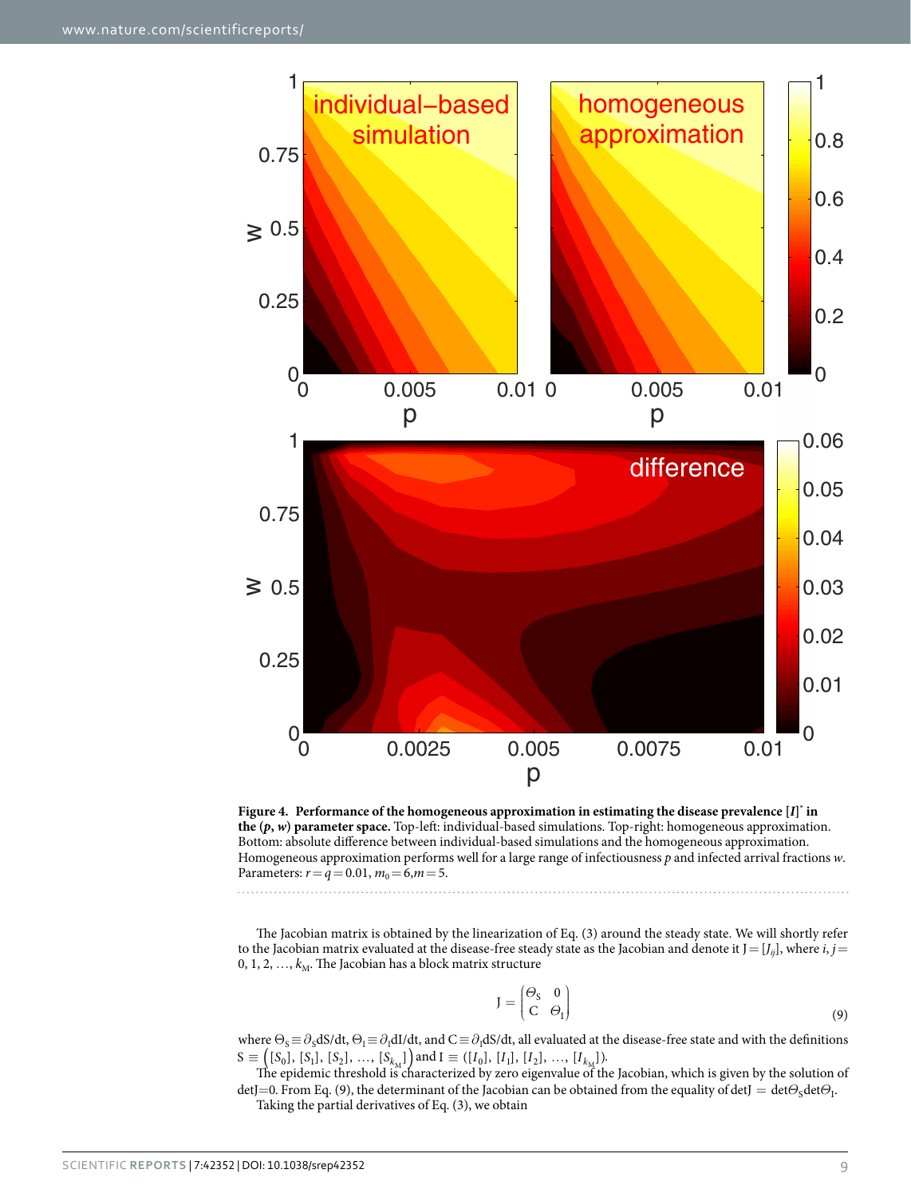

<span id="page-8-0"></span>

The Jacobian matrix is obtained by the linearization of Eq. (3) around the steady state. We will shortly refer to the Jacobian matrix evaluated at the disease-free steady state as the Jacobian and denote it  $J=[J_{ij}]$ , where *i*,  $j=$ 0, 1, 2, ...,  $k_M$ . The Jacobian has a block matrix structure

$$
J = \begin{pmatrix} \Theta_S & 0 \\ C & \Theta_I \end{pmatrix} \tag{9}
$$

where  $\Theta_s \equiv \partial_s dS/dt$ ,  $\Theta_I \equiv \partial_I dI/dt$ , and  $C \equiv \partial_I dS/dt$ , all evaluated at the disease-free state and with the definitions  $S \equiv ([S_0], [S_1], [S_2], ..., [S_{k_M}])$  and  $I \equiv ([I_0], [I_1], [I_2], ..., [I_{k_M}]).$ <br>The epidemic threshold is characterized by zero eigenvalue of the Jacobian, which is given by the solution of

detJ=0. From Eq. (9), the determinant of the Jacobian can be obtained from the equality of detJ = det $\Theta_S$ det $\Theta_I$ .

Taking the partial derivatives of Eq. (3), we obtain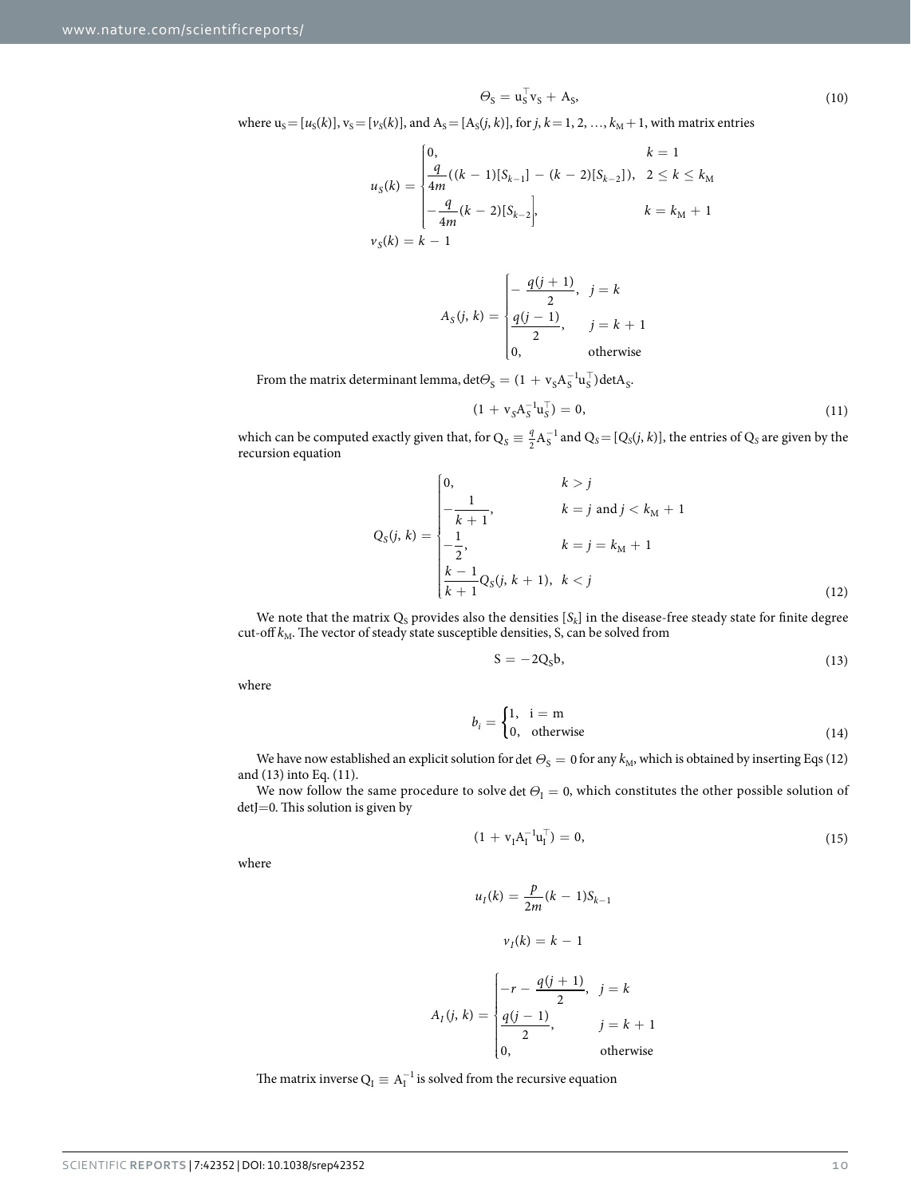$$
\Theta_{\rm S} = \mathbf{u}_{\rm S}^{\top} \mathbf{v}_{\rm S} + \mathbf{A}_{\rm S},\tag{10}
$$

where  $u_S = [u_S(k)]$ ,  $v_S = [v_S(k)]$ , and  $A_S = [A_S(j, k)]$ , for  $j, k = 1, 2, ..., k_M + 1$ , with matrix entries

$$
u_S(k) = \begin{cases} 0, & k = 1 \\ \frac{q}{4m}((k-1)[S_{k-1}] - (k-2)[S_{k-2}]), & 2 \le k \le k_M \\ -\frac{q}{4m}(k-2)[S_{k-2}], & k = k_M + 1 \\ v_S(k) = k - 1 \end{cases}
$$

$$
A_S(j, k) = \begin{cases} -\frac{q(j+1)}{2}, & j = k\\ \frac{q(j-1)}{2}, & j = k+1\\ 0, & \text{otherwise} \end{cases}
$$

From the matrix determinant lemma,  $\det\Theta_{\rm S} = (1 + v_{\rm S} A_{\rm S}^{-1} u_{\rm S}^\top) \det A_{\rm S}$ .

$$
(1 + vS AS-1 uST) = 0,
$$
\n(11)

which can be computed exactly given that, for  $Q_S = \frac{q}{2} A_S^{-1}$  and  $Q_S = [Q_S(j, k)]$ , the entries of  $Q_S$  are given by the recursion equation

$$
Q_S(j, k) = \begin{cases} 0, & k > j \\ -\frac{1}{k+1}, & k = j \text{ and } j < k_M + 1 \\ -\frac{1}{2}, & k = j = k_M + 1 \\ \frac{k-1}{k+1}Q_S(j, k+1), & k < j \end{cases}
$$
(12)

We note that the matrix  $Q_S$  provides also the densities  $[S_k]$  in the disease-free steady state for finite degree cut-off  $k_{\rm M}$ . The vector of steady state susceptible densities, S, can be solved from

$$
S = -2QSb,
$$
 (13)

where

$$
b_i = \begin{cases} 1, & i = m \\ 0, & \text{otherwise} \end{cases} \tag{14}
$$

We have now established an explicit solution for det  $\Theta_s = 0$  for any  $k_M$ , which is obtained by inserting Eqs (12) and (13) into Eq. (11).

We now follow the same procedure to solve det  $\Theta_{I} = 0$ , which constitutes the other possible solution of detJ=0. This solution is given by

$$
(1 + v_I A_I^{-1} u_I^\top) = 0,\t\t(15)
$$

where

$$
u_I(k) = \frac{p}{2m}(k-1)S_{k-1}
$$

$$
v_I(k) = k-1
$$

$$
A_I(j,k) = \begin{cases} -r - \frac{q(j+1)}{2}, & j=k\\ \frac{q(j-1)}{2}, & j=k+1\\ 0, & \text{otherwise} \end{cases}
$$

The matrix inverse  $Q_I \equiv A_I^{-1}$  is solved from the recursive equation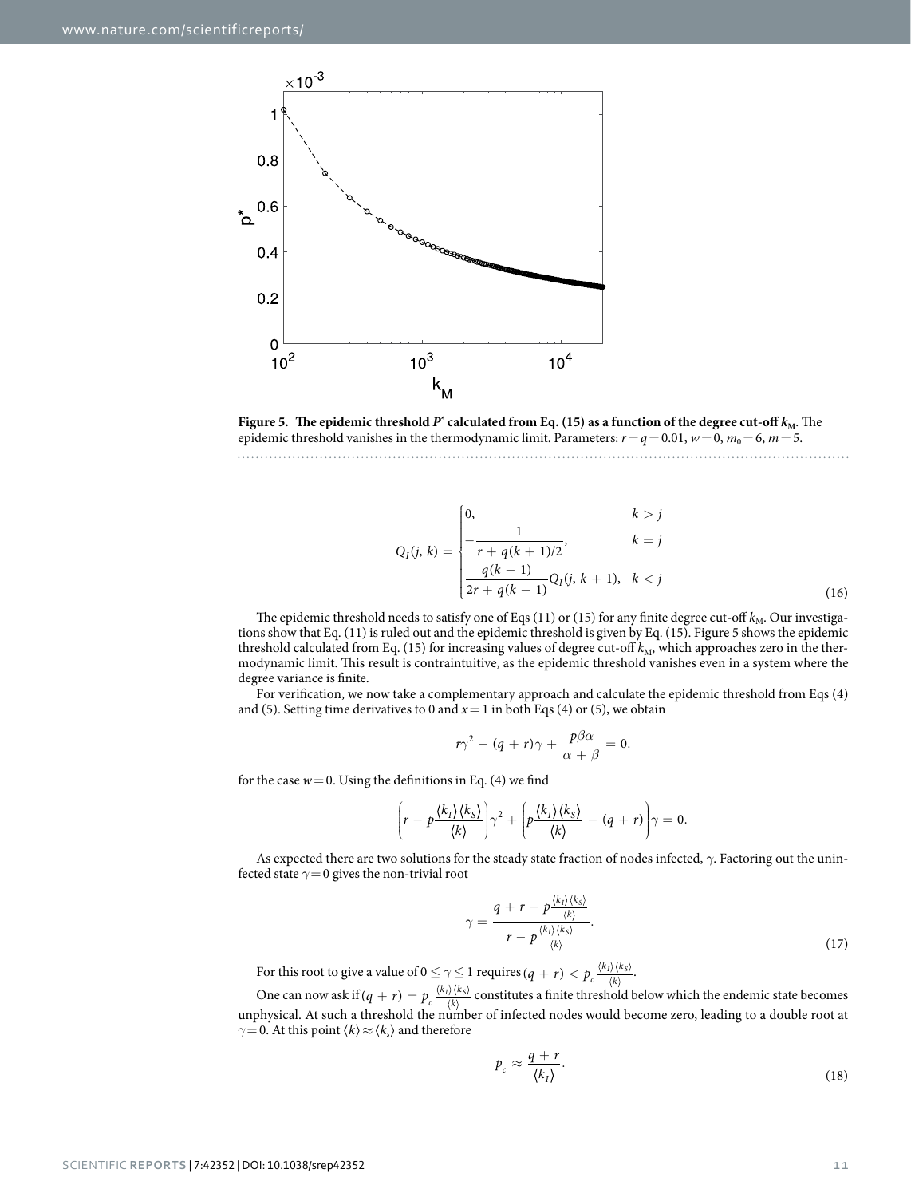

<span id="page-10-0"></span>**Figure 5.** The epidemic threshold  $P^*$  calculated from Eq. (15) as a function of the degree cut-off  $k_M$ . The epidemic threshold vanishes in the thermodynamic limit. Parameters:  $r=q=0.01$ ,  $w=0$ ,  $m_0=6$ ,  $m=5$ . 

$$
Q_{I}(j, k) = \begin{cases} 0, & k > j \\ -\frac{1}{r + q(k+1)/2}, & k = j \\ \frac{q(k-1)}{2r + q(k+1)} Q_{I}(j, k+1), & k < j \end{cases}
$$
(16)

The epidemic threshold needs to satisfy one of Eqs (11) or (15) for any finite degree cut-off  $k_M$ . Our investigations show that Eq. (11) is ruled out and the epidemic threshold is given by Eq. (15). [Figure 5](#page-10-0) shows the epidemic threshold calculated from Eq. (15) for increasing values of degree cut-off  $k_M$ , which approaches zero in the thermodynamic limit. This result is contraintuitive, as the epidemic threshold vanishes even in a system where the degree variance is finite.

For verification, we now take a complementary approach and calculate the epidemic threshold from Eqs (4) and (5). Setting time derivatives to 0 and  $x=1$  in both Eqs (4) or (5), we obtain

$$
r\gamma^2 - (q+r)\gamma + \frac{p\beta\alpha}{\alpha+\beta} = 0.
$$

for the case  $w=0$ . Using the definitions in Eq. (4) we find

$$
\left(r-p\frac{\langle k_1\rangle\langle k_2\rangle}{\langle k\rangle}\right)\gamma^2+\left(p\frac{\langle k_1\rangle\langle k_2\rangle}{\langle k\rangle}-(q+r)\right)\gamma=0.
$$

As expected there are two solutions for the steady state fraction of nodes infected, *γ*. Factoring out the uninfected state *γ*=0 gives the non-trivial root

$$
\gamma = \frac{q + r - p\frac{\langle k_1 \rangle \langle k_3 \rangle}{\langle k \rangle}}{r - p\frac{\langle k_1 \rangle \langle k_3 \rangle}{\langle k \rangle}}.
$$
\n(17)

For this root to give a value of  $0 \leq \gamma \leq 1$  requires  $(q+r) < p_c \frac{\langle k_l \rangle \langle k_l \rangle}{\langle k_l \rangle}$  $\frac{I/\sqrt{\kappa_S}}{\langle k \rangle}$ .

One can now ask if  $(q + r) = p_c \frac{\langle k_I \rangle \langle k_I \rangle}{\langle k_I \rangle}$  $\frac{I(N \times S)}{\langle k \rangle}$  constitutes a finite threshold below which the endemic state becomes unphysical. At such a threshold the number of infected nodes would become zero, leading to a double root at *γ* = 0. At this point  $\langle k \rangle \approx \langle k_s \rangle$  and therefore

$$
p_c \approx \frac{q+r}{\langle k_I \rangle}.\tag{18}
$$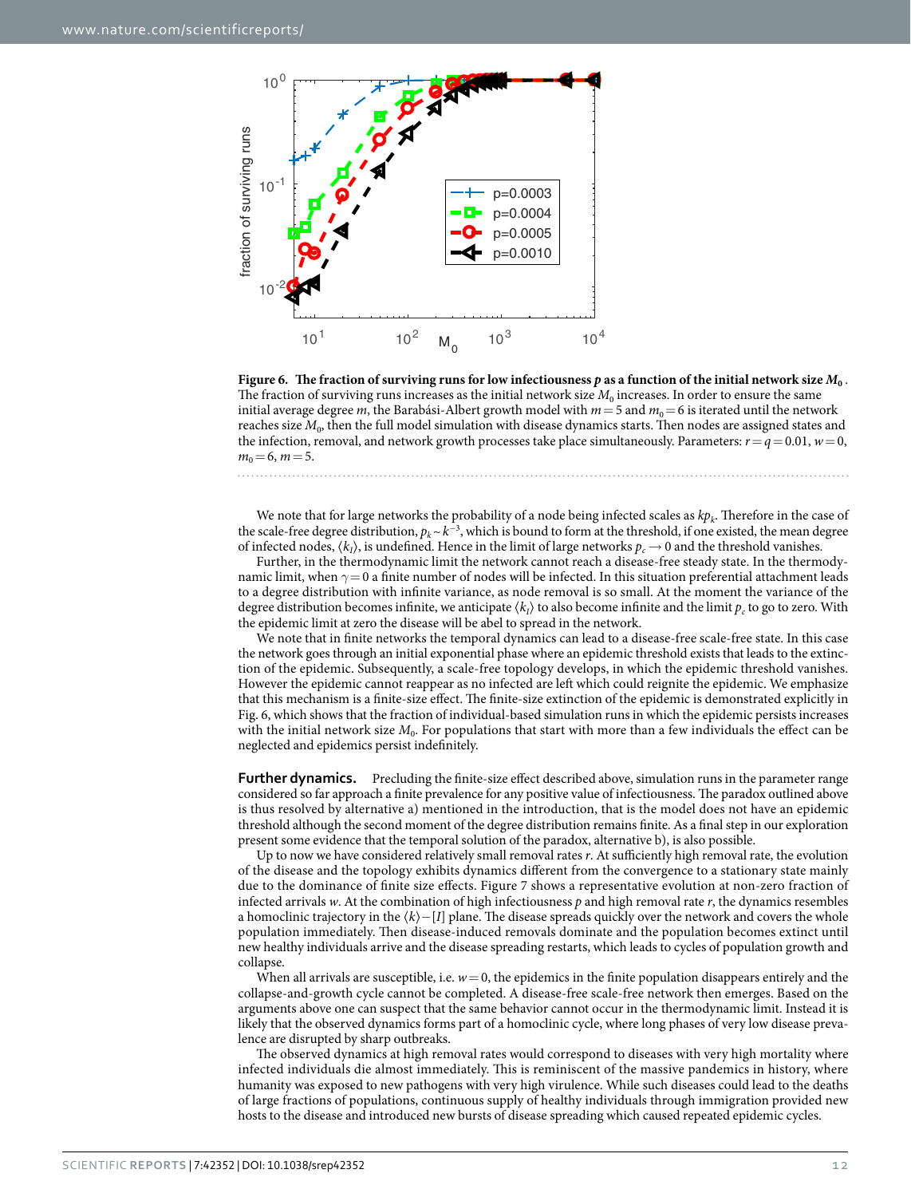

<span id="page-11-0"></span>**Figure 6.** The fraction of surviving runs for low infectiousness  $p$  as a function of the initial network size  $M_0$ . The fraction of surviving runs increases as the initial network size  $M_0$  increases. In order to ensure the same initial average degree *m*, the Barabási-Albert growth model with  $m=5$  and  $m_0=6$  is iterated until the network reaches size  $M_0$ , then the full model simulation with disease dynamics starts. Then nodes are assigned states and the infection, removal, and network growth processes take place simultaneously. Parameters:  $r = q = 0.01$ ,  $w = 0$ ,  $m_0 = 6$ ,  $m = 5$ .

We note that for large networks the probability of a node being infected scales as  $kp_k$ . Therefore in the case of the scale-free degree distribution,  $p_k \sim k^{-3}$ , which is bound to form at the threshold, if one existed, the mean degree of infected nodes,  $\langle k_t \rangle$ , is undefined. Hence in the limit of large networks  $p_c \rightarrow 0$  and the threshold vanishes.

Further, in the thermodynamic limit the network cannot reach a disease-free steady state. In the thermodynamic limit, when *γ*= 0 a finite number of nodes will be infected. In this situation preferential attachment leads to a degree distribution with infinite variance, as node removal is so small. At the moment the variance of the degree distribution becomes infinite, we anticipate  $\langle k_i \rangle$  to also become infinite and the limit  $p_c$  to go to zero. With the epidemic limit at zero the disease will be abel to spread in the network.

We note that in finite networks the temporal dynamics can lead to a disease-free scale-free state. In this case the network goes through an initial exponential phase where an epidemic threshold exists that leads to the extinction of the epidemic. Subsequently, a scale-free topology develops, in which the epidemic threshold vanishes. However the epidemic cannot reappear as no infected are left which could reignite the epidemic. We emphasize that this mechanism is a finite-size effect. The finite-size extinction of the epidemic is demonstrated explicitly in [Fig. 6](#page-11-0), which shows that the fraction of individual-based simulation runs in which the epidemic persists increases with the initial network size  $M_0$ . For populations that start with more than a few individuals the effect can be neglected and epidemics persist indefinitely.

**Further dynamics.** Precluding the finite-size effect described above, simulation runs in the parameter range considered so far approach a finite prevalence for any positive value of infectiousness. The paradox outlined above is thus resolved by alternative a) mentioned in the introduction, that is the model does not have an epidemic threshold although the second moment of the degree distribution remains finite. As a final step in our exploration present some evidence that the temporal solution of the paradox, alternative b), is also possible.

Up to now we have considered relatively small removal rates *r*. At sufficiently high removal rate, the evolution of the disease and the topology exhibits dynamics different from the convergence to a stationary state mainly due to the dominance of finite size effects. [Figure 7](#page-12-0) shows a representative evolution at non-zero fraction of infected arrivals *w*. At the combination of high infectiousness *p* and high removal rate *r*, the dynamics resembles a homoclinic trajectory in the 〈*k*〉−[*I*] plane. The disease spreads quickly over the network and covers the whole population immediately. Then disease-induced removals dominate and the population becomes extinct until new healthy individuals arrive and the disease spreading restarts, which leads to cycles of population growth and collapse.

When all arrivals are susceptible, i.e.  $w=0$ , the epidemics in the finite population disappears entirely and the collapse-and-growth cycle cannot be completed. A disease-free scale-free network then emerges. Based on the arguments above one can suspect that the same behavior cannot occur in the thermodynamic limit. Instead it is likely that the observed dynamics forms part of a homoclinic cycle, where long phases of very low disease prevalence are disrupted by sharp outbreaks.

The observed dynamics at high removal rates would correspond to diseases with very high mortality where infected individuals die almost immediately. This is reminiscent of the massive pandemics in history, where humanity was exposed to new pathogens with very high virulence. While such diseases could lead to the deaths of large fractions of populations, continuous supply of healthy individuals through immigration provided new hosts to the disease and introduced new bursts of disease spreading which caused repeated epidemic cycles.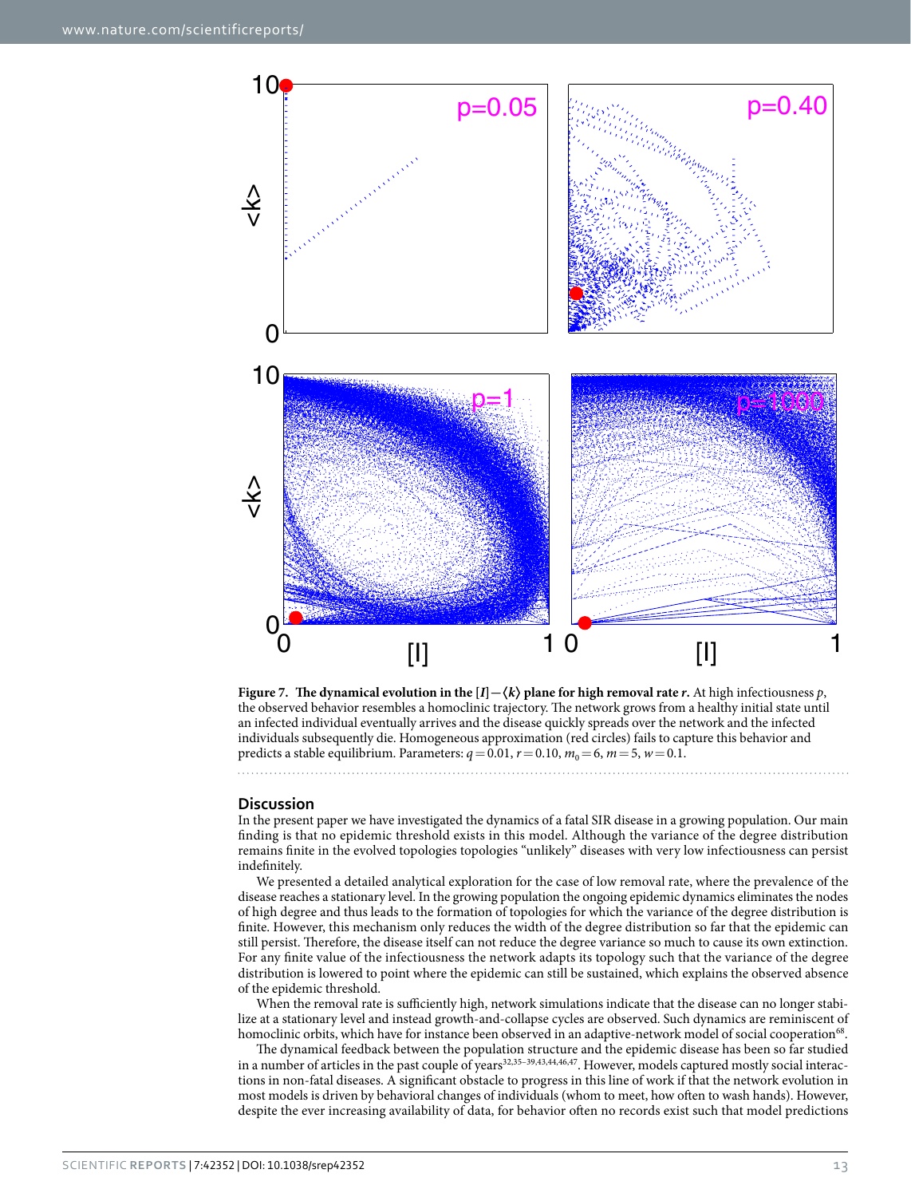

<span id="page-12-0"></span>**Figure 7.** The dynamical evolution in the  $[I] - \langle k \rangle$  plane for high removal rate *r*. At high infectiousness *p*, the observed behavior resembles a homoclinic trajectory. The network grows from a healthy initial state until an infected individual eventually arrives and the disease quickly spreads over the network and the infected individuals subsequently die. Homogeneous approximation (red circles) fails to capture this behavior and predicts a stable equilibrium. Parameters:  $q = 0.01$ ,  $r = 0.10$ ,  $m_0 = 6$ ,  $m = 5$ ,  $w = 0.1$ .

#### **Discussion**

In the present paper we have investigated the dynamics of a fatal SIR disease in a growing population. Our main finding is that no epidemic threshold exists in this model. Although the variance of the degree distribution remains finite in the evolved topologies topologies "unlikely" diseases with very low infectiousness can persist indefinitely.

We presented a detailed analytical exploration for the case of low removal rate, where the prevalence of the disease reaches a stationary level. In the growing population the ongoing epidemic dynamics eliminates the nodes of high degree and thus leads to the formation of topologies for which the variance of the degree distribution is finite. However, this mechanism only reduces the width of the degree distribution so far that the epidemic can still persist. Therefore, the disease itself can not reduce the degree variance so much to cause its own extinction. For any finite value of the infectiousness the network adapts its topology such that the variance of the degree distribution is lowered to point where the epidemic can still be sustained, which explains the observed absence of the epidemic threshold.

When the removal rate is sufficiently high, network simulations indicate that the disease can no longer stabilize at a stationary level and instead growth-and-collapse cycles are observed. Such dynamics are reminiscent of homoclinic orbits, which have for instance been observed in an adaptive-network model of social cooperation<sup>[68](#page-14-17)</sup>.

The dynamical feedback between the population structure and the epidemic disease has been so far studied in a number of articles in the past couple of years<sup>[32](#page-13-19),[35–39](#page-13-22)[,43](#page-14-4)[,44,](#page-14-18)[46,](#page-14-19)47</sup>. However, models captured mostly social interactions in non-fatal diseases. A significant obstacle to progress in this line of work if that the network evolution in most models is driven by behavioral changes of individuals (whom to meet, how often to wash hands). However, despite the ever increasing availability of data, for behavior often no records exist such that model predictions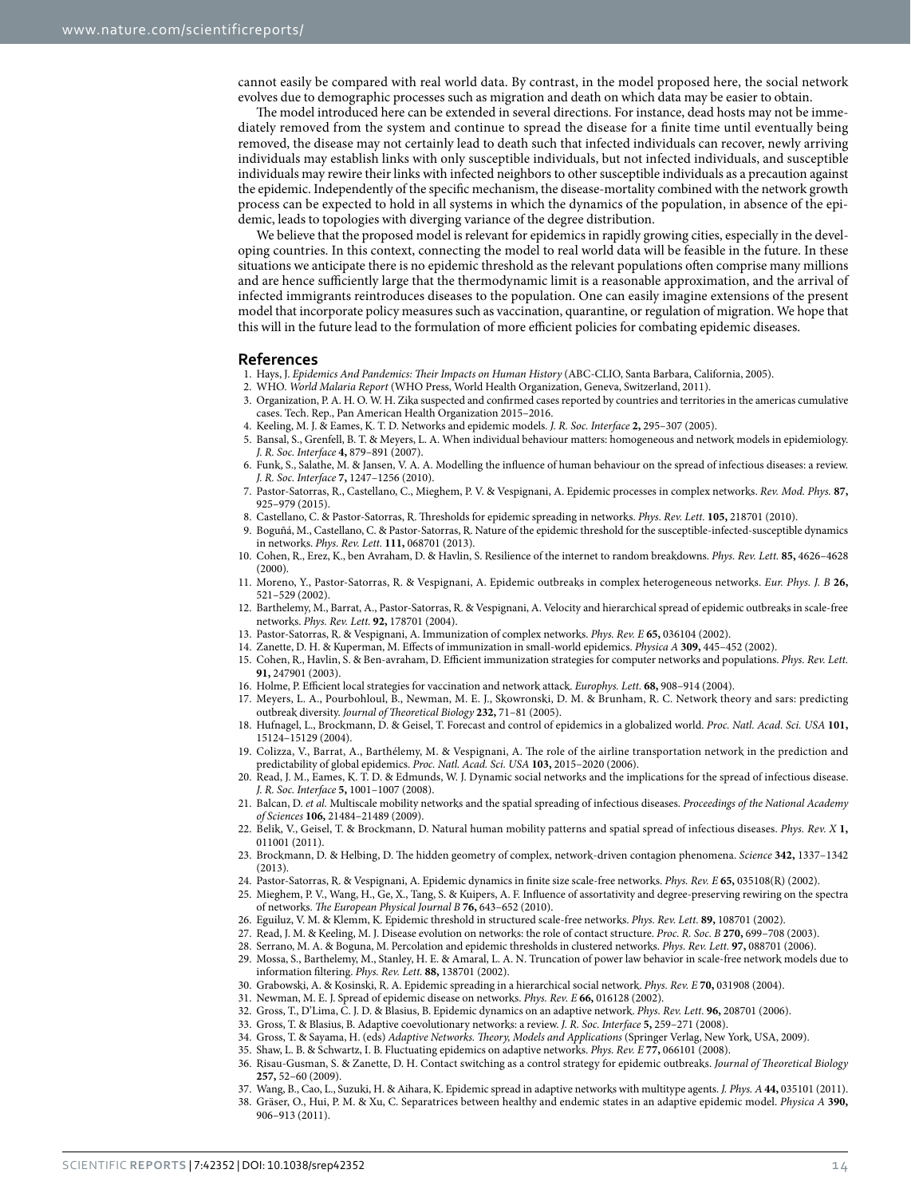cannot easily be compared with real world data. By contrast, in the model proposed here, the social network evolves due to demographic processes such as migration and death on which data may be easier to obtain.

The model introduced here can be extended in several directions. For instance, dead hosts may not be immediately removed from the system and continue to spread the disease for a finite time until eventually being removed, the disease may not certainly lead to death such that infected individuals can recover, newly arriving individuals may establish links with only susceptible individuals, but not infected individuals, and susceptible individuals may rewire their links with infected neighbors to other susceptible individuals as a precaution against the epidemic. Independently of the specific mechanism, the disease-mortality combined with the network growth process can be expected to hold in all systems in which the dynamics of the population, in absence of the epidemic, leads to topologies with diverging variance of the degree distribution.

We believe that the proposed model is relevant for epidemics in rapidly growing cities, especially in the developing countries. In this context, connecting the model to real world data will be feasible in the future. In these situations we anticipate there is no epidemic threshold as the relevant populations often comprise many millions and are hence sufficiently large that the thermodynamic limit is a reasonable approximation, and the arrival of infected immigrants reintroduces diseases to the population. One can easily imagine extensions of the present model that incorporate policy measures such as vaccination, quarantine, or regulation of migration. We hope that this will in the future lead to the formulation of more efficient policies for combating epidemic diseases.

#### **References**

- <span id="page-13-0"></span>1. Hays, J. *Epidemics And Pandemics: Their Impacts on Human History* (ABC-CLIO, Santa Barbara, California, 2005).
- <span id="page-13-2"></span><span id="page-13-1"></span>2. WHO. *World Malaria Report* (WHO Press, World Health Organization, Geneva, Switzerland, 2011).
- 3. Organization, P. A. H. O. W. H. Zika suspected and confirmed cases reported by countries and territories in the americas cumulative cases. Tech. Rep., Pan American Health Organization 2015–2016.
- <span id="page-13-3"></span>4. Keeling, M. J. & Eames, K. T. D. Networks and epidemic models. *J. R. Soc. Interface* **2,** 295–307 (2005).
- 5. Bansal, S., Grenfell, B. T. & Meyers, L. A. When individual behaviour matters: homogeneous and network models in epidemiology. *J. R. Soc. Interface* **4,** 879–891 (2007).
- <span id="page-13-18"></span>6. Funk, S., Salathe, M. & Jansen, V. A. A. Modelling the influence of human behaviour on the spread of infectious diseases: a review. *J. R. Soc. Interface* **7,** 1247–1256 (2010).
- <span id="page-13-6"></span>7. Pastor-Satorras, R., Castellano, C., Mieghem, P. V. & Vespignani, A. Epidemic processes in complex networks. *Rev. Mod. Phys.* **87,** 925–979 (2015).
- <span id="page-13-4"></span>8. Castellano, C. & Pastor-Satorras, R. Thresholds for epidemic spreading in networks. *Phys. Rev. Lett.* **105,** 218701 (2010).
- <span id="page-13-5"></span>9. Boguñá, M., Castellano, C. & Pastor-Satorras, R. Nature of the epidemic threshold for the susceptible-infected-susceptible dynamics in networks. *Phys. Rev. Lett.* **111,** 068701 (2013).
- <span id="page-13-7"></span>10. Cohen, R., Erez, K., ben Avraham, D. & Havlin, S. Resilience of the internet to random breakdowns. *Phys. Rev. Lett.* **85,** 4626–4628 (2000).
- <span id="page-13-8"></span>11. Moreno, Y., Pastor-Satorras, R. & Vespignani, A. Epidemic outbreaks in complex heterogeneous networks. *Eur. Phys. J. B* **26,** 521–529 (2002).
- <span id="page-13-9"></span>12. Barthelemy, M., Barrat, A., Pastor-Satorras, R. & Vespignani, A. Velocity and hierarchical spread of epidemic outbreaks in scale-free networks. *Phys. Rev. Lett.* **92,** 178701 (2004).
- <span id="page-13-10"></span>13. Pastor-Satorras, R. & Vespignani, A. Immunization of complex networks. *Phys. Rev. E* **65,** 036104 (2002).
- 14. Zanette, D. H. & Kuperman, M. Effects of immunization in small-world epidemics. *Physica A* **309,** 445–452 (2002).
- 15. Cohen, R., Havlin, S. & Ben-avraham, D. Efficient immunization strategies for computer networks and populations. *Phys. Rev. Lett.* **91,** 247901 (2003).
- 16. Holme, P. Efficient local strategies for vaccination and network attack. *Europhys. Lett.* **68,** 908–914 (2004).
- 17. Meyers, L. A., Pourbohloul, B., Newman, M. E. J., Skowronski, D. M. & Brunham, R. C. Network theory and sars: predicting outbreak diversity. *Journal of Theoretical Biology* **232,** 71–81 (2005).
- <span id="page-13-11"></span>18. Hufnagel, L., Brockmann, D. & Geisel, T. Forecast and control of epidemics in a globalized world. *Proc. Natl. Acad. Sci. USA* **101,** 15124–15129 (2004).
- 19. Colizza, V., Barrat, A., Barthélemy, M. & Vespignani, A. The role of the airline transportation network in the prediction and predictability of global epidemics. *Proc. Natl. Acad. Sci. USA* **103,** 2015–2020 (2006).
- 20. Read, J. M., Eames, K. T. D. & Edmunds, W. J. Dynamic social networks and the implications for the spread of infectious disease. *J. R. Soc. Interface* **5,** 1001–1007 (2008).
- 21. Balcan, D. *et al.* Multiscale mobility networks and the spatial spreading of infectious diseases. *Proceedings of the National Academy of Sciences* **106,** 21484–21489 (2009).
- 22. Belik, V., Geisel, T. & Brockmann, D. Natural human mobility patterns and spatial spread of infectious diseases. *Phys. Rev. X* **1,** 011001 (2011).
- 23. Brockmann, D. & Helbing, D. The hidden geometry of complex, network-driven contagion phenomena. *Science* **342,** 1337–1342 (2013).
- <span id="page-13-12"></span>24. Pastor-Satorras, R. & Vespignani, A. Epidemic dynamics in finite size scale-free networks. *Phys. Rev. E* **65,** 035108(R) (2002).
- <span id="page-13-13"></span>25. Mieghem, P. V., Wang, H., Ge, X., Tang, S. & Kuipers, A. F. Influence of assortativity and degree-preserving rewiring on the spectra of networks. *The European Physical Journal B* **76,** 643–652 (2010).
- <span id="page-13-14"></span>26. Eguiluz, V. M. & Klemm, K. Epidemic threshold in structured scale-free networks. *Phys. Rev. Lett.* **89,** 108701 (2002).
- 27. Read, J. M. & Keeling, M. J. Disease evolution on networks: the role of contact structure. *Proc. R. Soc. B* **270,** 699–708 (2003).
- 28. Serrano, M. A. & Boguna, M. Percolation and epidemic thresholds in clustered networks. *Phys. Rev. Lett.* **97,** 088701 (2006).
- <span id="page-13-15"></span>29. Mossa, S., Barthelemy, M., Stanley, H. E. & Amaral, L. A. N. Truncation of power law behavior in scale-free network models due to information filtering. *Phys. Rev. Lett.* **88,** 138701 (2002).
- <span id="page-13-16"></span>30. Grabowski, A. & Kosinski, R. A. Epidemic spreading in a hierarchical social network. *Phys. Rev. E* **70,** 031908 (2004).
- <span id="page-13-17"></span>31. Newman, M. E. J. Spread of epidemic disease on networks. *Phys. Rev. E* **66,** 016128 (2002).
- <span id="page-13-19"></span>32. Gross, T., D'Lima, C. J. D. & Blasius, B. Epidemic dynamics on an adaptive network. *Phys. Rev. Lett.* **96,** 208701 (2006).
- <span id="page-13-21"></span><span id="page-13-20"></span>33. Gross, T. & Blasius, B. Adaptive coevolutionary networks: a review. *J. R. Soc. Interface* **5,** 259–271 (2008).
- 34. Gross, T. & Sayama, H. (eds) *Adaptive Networks. Theory, Models and Applications* (Springer Verlag, New York, USA, 2009).
- <span id="page-13-22"></span>35. Shaw, L. B. & Schwartz, I. B. Fluctuating epidemics on adaptive networks. *Phys. Rev. E* **77,** 066101 (2008).
- 36. Risau-Gusman, S. & Zanette, D. H. Contact switching as a control strategy for epidemic outbreaks. *Journal of Theoretical Biology* **257,** 52–60 (2009).
- 37. Wang, B., Cao, L., Suzuki, H. & Aihara, K. Epidemic spread in adaptive networks with multitype agents. *J. Phys. A* **44,** 035101 (2011).
- 38. Gräser, O., Hui, P. M. & Xu, C. Separatrices between healthy and endemic states in an adaptive epidemic model. *Physica A* **390,** 906–913 (2011).